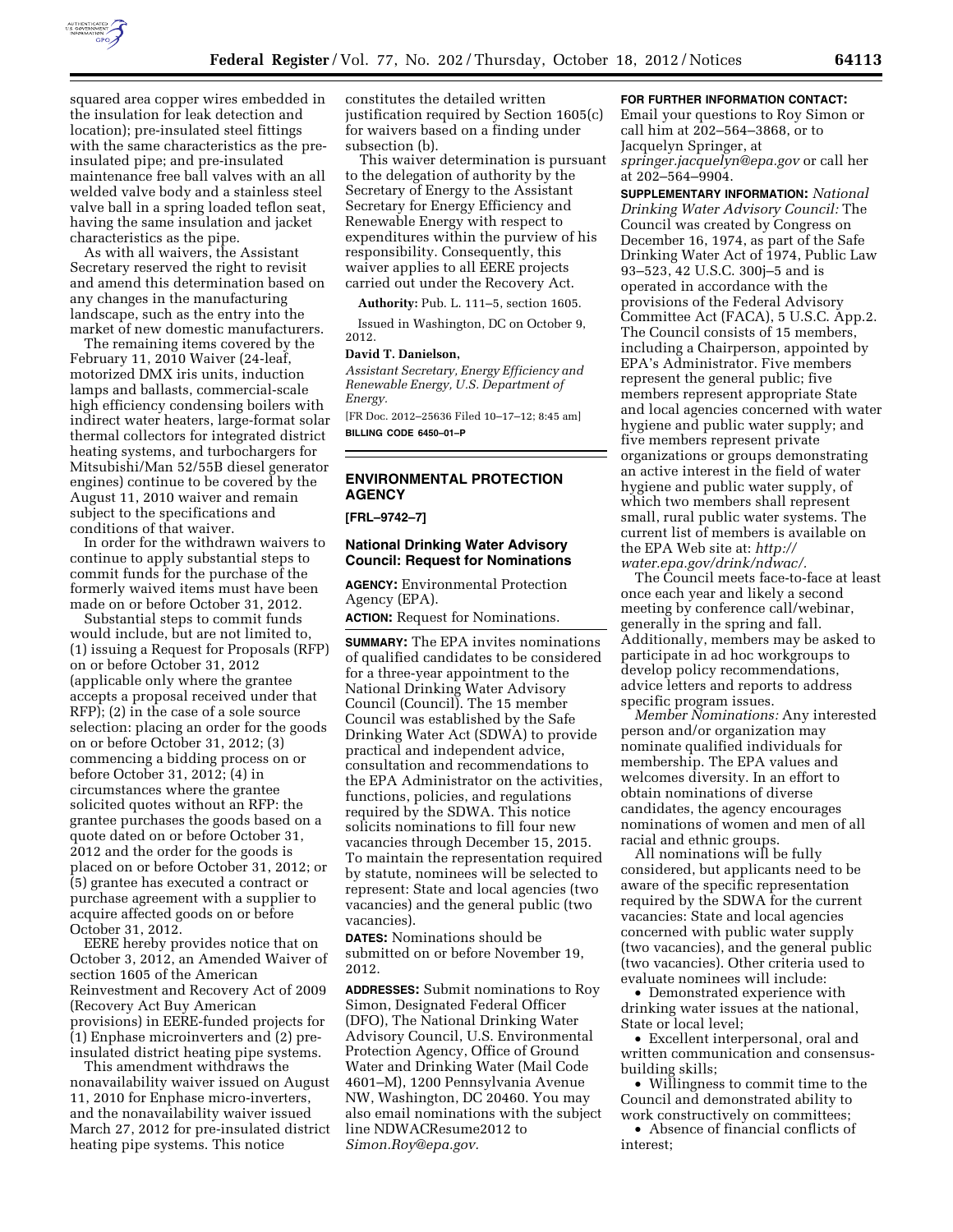

squared area copper wires embedded in the insulation for leak detection and location); pre-insulated steel fittings with the same characteristics as the preinsulated pipe; and pre-insulated maintenance free ball valves with an all welded valve body and a stainless steel valve ball in a spring loaded teflon seat, having the same insulation and jacket characteristics as the pipe.

As with all waivers, the Assistant Secretary reserved the right to revisit and amend this determination based on any changes in the manufacturing landscape, such as the entry into the market of new domestic manufacturers.

The remaining items covered by the February 11, 2010 Waiver (24-leaf, motorized DMX iris units, induction lamps and ballasts, commercial-scale high efficiency condensing boilers with indirect water heaters, large-format solar thermal collectors for integrated district heating systems, and turbochargers for Mitsubishi/Man 52/55B diesel generator engines) continue to be covered by the August 11, 2010 waiver and remain subject to the specifications and conditions of that waiver.

In order for the withdrawn waivers to continue to apply substantial steps to commit funds for the purchase of the formerly waived items must have been made on or before October 31, 2012.

Substantial steps to commit funds would include, but are not limited to, (1) issuing a Request for Proposals (RFP) on or before October 31, 2012 (applicable only where the grantee accepts a proposal received under that RFP); (2) in the case of a sole source selection: placing an order for the goods on or before October 31, 2012; (3) commencing a bidding process on or before October 31, 2012; (4) in circumstances where the grantee solicited quotes without an RFP: the grantee purchases the goods based on a quote dated on or before October 31, 2012 and the order for the goods is placed on or before October 31, 2012; or (5) grantee has executed a contract or purchase agreement with a supplier to acquire affected goods on or before October 31, 2012.

EERE hereby provides notice that on October 3, 2012, an Amended Waiver of section 1605 of the American Reinvestment and Recovery Act of 2009 (Recovery Act Buy American provisions) in EERE-funded projects for (1) Enphase microinverters and (2) preinsulated district heating pipe systems.

This amendment withdraws the nonavailability waiver issued on August 11, 2010 for Enphase micro-inverters, and the nonavailability waiver issued March 27, 2012 for pre-insulated district heating pipe systems. This notice

constitutes the detailed written justification required by Section 1605(c) for waivers based on a finding under subsection (b).

This waiver determination is pursuant to the delegation of authority by the Secretary of Energy to the Assistant Secretary for Energy Efficiency and Renewable Energy with respect to expenditures within the purview of his responsibility. Consequently, this waiver applies to all EERE projects carried out under the Recovery Act.

**Authority:** Pub. L. 111–5, section 1605.

Issued in Washington, DC on October 9, 2012.

#### **David T. Danielson,**

*Assistant Secretary, Energy Efficiency and Renewable Energy, U.S. Department of Energy.* 

[FR Doc. 2012–25636 Filed 10–17–12; 8:45 am] **BILLING CODE 6450–01–P** 

# **ENVIRONMENTAL PROTECTION AGENCY**

## **[FRL–9742–7]**

### **National Drinking Water Advisory Council: Request for Nominations**

**AGENCY:** Environmental Protection Agency (EPA).

**ACTION:** Request for Nominations.

**SUMMARY:** The EPA invites nominations of qualified candidates to be considered for a three-year appointment to the National Drinking Water Advisory Council (Council). The 15 member Council was established by the Safe Drinking Water Act (SDWA) to provide practical and independent advice, consultation and recommendations to the EPA Administrator on the activities, functions, policies, and regulations required by the SDWA. This notice solicits nominations to fill four new vacancies through December 15, 2015. To maintain the representation required by statute, nominees will be selected to represent: State and local agencies (two vacancies) and the general public (two vacancies).

**DATES:** Nominations should be submitted on or before November 19, 2012.

**ADDRESSES:** Submit nominations to Roy Simon, Designated Federal Officer (DFO), The National Drinking Water Advisory Council, U.S. Environmental Protection Agency, Office of Ground Water and Drinking Water (Mail Code 4601–M), 1200 Pennsylvania Avenue NW, Washington, DC 20460. You may also email nominations with the subject line NDWACResume2012 to *[Simon.Roy@epa.gov.](mailto:Simon.Roy@epa.gov)* 

### **FOR FURTHER INFORMATION CONTACT:**

Email your questions to Roy Simon or call him at 202–564–3868, or to Jacquelyn Springer, at *[springer.jacquelyn@epa.gov](mailto:springer.jacquelyn@epa.gov)* or call her at 202–564–9904.

**SUPPLEMENTARY INFORMATION:** *National Drinking Water Advisory Council:* The Council was created by Congress on December 16, 1974, as part of the Safe Drinking Water Act of 1974, Public Law 93–523, 42 U.S.C. 300j–5 and is operated in accordance with the provisions of the Federal Advisory Committee Act (FACA), 5 U.S.C. App.2. The Council consists of 15 members, including a Chairperson, appointed by EPA's Administrator. Five members represent the general public; five members represent appropriate State and local agencies concerned with water hygiene and public water supply; and five members represent private organizations or groups demonstrating an active interest in the field of water hygiene and public water supply, of which two members shall represent small, rural public water systems. The current list of members is available on the EPA Web site at: *[http://](http://water.epa.gov/drink/ndwac/)  [water.epa.gov/drink/ndwac/.](http://water.epa.gov/drink/ndwac/)* 

The Council meets face-to-face at least once each year and likely a second meeting by conference call/webinar, generally in the spring and fall. Additionally, members may be asked to participate in ad hoc workgroups to develop policy recommendations, advice letters and reports to address specific program issues.

*Member Nominations:* Any interested person and/or organization may nominate qualified individuals for membership. The EPA values and welcomes diversity. In an effort to obtain nominations of diverse candidates, the agency encourages nominations of women and men of all racial and ethnic groups.

All nominations will be fully considered, but applicants need to be aware of the specific representation required by the SDWA for the current vacancies: State and local agencies concerned with public water supply (two vacancies), and the general public (two vacancies). Other criteria used to evaluate nominees will include:

• Demonstrated experience with drinking water issues at the national, State or local level;

• Excellent interpersonal, oral and written communication and consensusbuilding skills;

• Willingness to commit time to the Council and demonstrated ability to work constructively on committees; • Absence of financial conflicts of

interest;